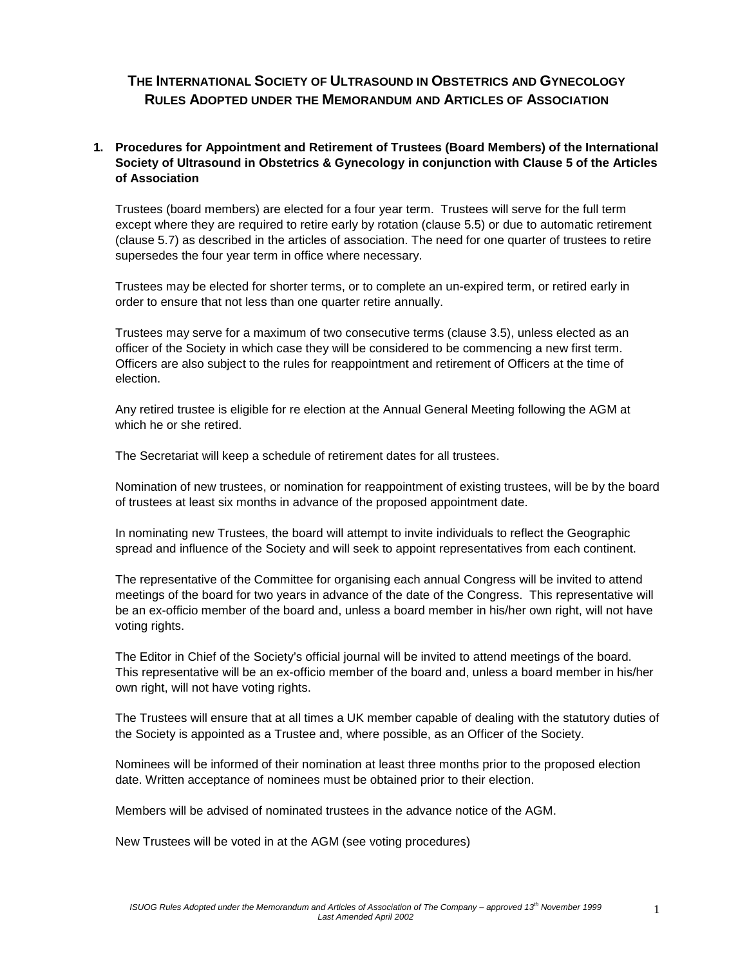# **THE INTERNATIONAL SOCIETY OF ULTRASOUND IN OBSTETRICS AND GYNECOLOGY RULES ADOPTED UNDER THE MEMORANDUM AND ARTICLES OF ASSOCIATION**

# **1. Procedures for Appointment and Retirement of Trustees (Board Members) of the International Society of Ultrasound in Obstetrics & Gynecology in conjunction with Clause 5 of the Articles of Association**

Trustees (board members) are elected for a four year term. Trustees will serve for the full term except where they are required to retire early by rotation (clause 5.5) or due to automatic retirement (clause 5.7) as described in the articles of association. The need for one quarter of trustees to retire supersedes the four year term in office where necessary.

Trustees may be elected for shorter terms, or to complete an un-expired term, or retired early in order to ensure that not less than one quarter retire annually.

Trustees may serve for a maximum of two consecutive terms (clause 3.5), unless elected as an officer of the Society in which case they will be considered to be commencing a new first term. Officers are also subject to the rules for reappointment and retirement of Officers at the time of election.

Any retired trustee is eligible for re election at the Annual General Meeting following the AGM at which he or she retired.

The Secretariat will keep a schedule of retirement dates for all trustees.

Nomination of new trustees, or nomination for reappointment of existing trustees, will be by the board of trustees at least six months in advance of the proposed appointment date.

In nominating new Trustees, the board will attempt to invite individuals to reflect the Geographic spread and influence of the Society and will seek to appoint representatives from each continent.

The representative of the Committee for organising each annual Congress will be invited to attend meetings of the board for two years in advance of the date of the Congress. This representative will be an ex-officio member of the board and, unless a board member in his/her own right, will not have voting rights.

The Editor in Chief of the Society's official journal will be invited to attend meetings of the board. This representative will be an ex-officio member of the board and, unless a board member in his/her own right, will not have voting rights.

The Trustees will ensure that at all times a UK member capable of dealing with the statutory duties of the Society is appointed as a Trustee and, where possible, as an Officer of the Society.

Nominees will be informed of their nomination at least three months prior to the proposed election date. Written acceptance of nominees must be obtained prior to their election.

Members will be advised of nominated trustees in the advance notice of the AGM.

New Trustees will be voted in at the AGM (see voting procedures)

1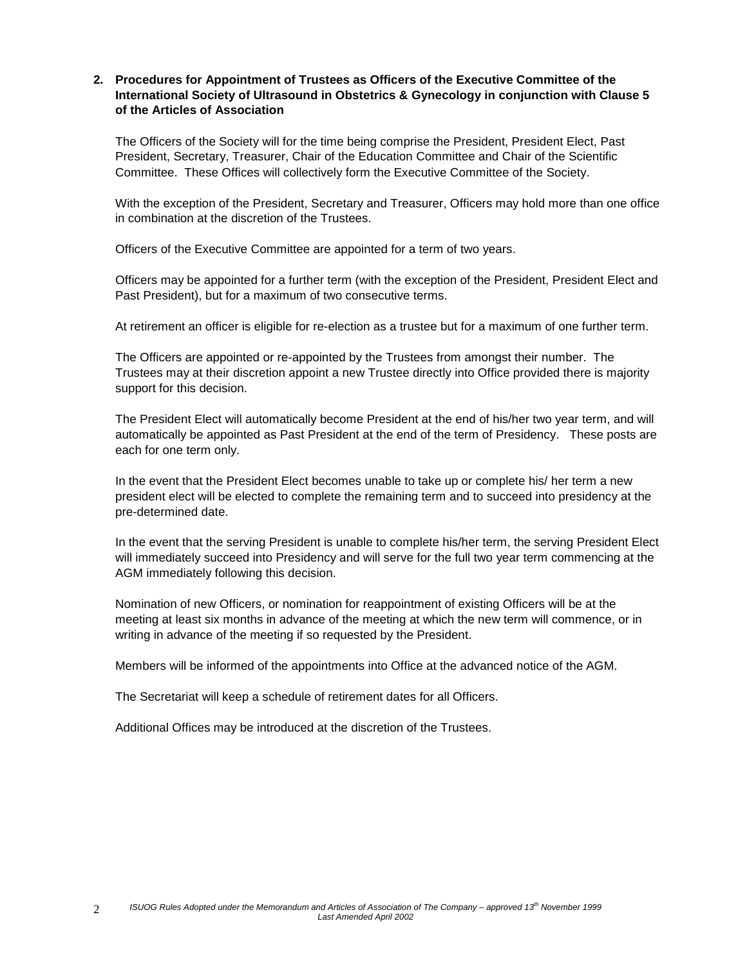## **2. Procedures for Appointment of Trustees as Officers of the Executive Committee of the International Society of Ultrasound in Obstetrics & Gynecology in conjunction with Clause 5 of the Articles of Association**

The Officers of the Society will for the time being comprise the President, President Elect, Past President, Secretary, Treasurer, Chair of the Education Committee and Chair of the Scientific Committee. These Offices will collectively form the Executive Committee of the Society.

With the exception of the President, Secretary and Treasurer, Officers may hold more than one office in combination at the discretion of the Trustees.

Officers of the Executive Committee are appointed for a term of two years.

Officers may be appointed for a further term (with the exception of the President, President Elect and Past President), but for a maximum of two consecutive terms.

At retirement an officer is eligible for re-election as a trustee but for a maximum of one further term.

The Officers are appointed or re-appointed by the Trustees from amongst their number. The Trustees may at their discretion appoint a new Trustee directly into Office provided there is majority support for this decision.

The President Elect will automatically become President at the end of his/her two year term, and will automatically be appointed as Past President at the end of the term of Presidency. These posts are each for one term only.

In the event that the President Elect becomes unable to take up or complete his/ her term a new president elect will be elected to complete the remaining term and to succeed into presidency at the pre-determined date.

In the event that the serving President is unable to complete his/her term, the serving President Elect will immediately succeed into Presidency and will serve for the full two year term commencing at the AGM immediately following this decision.

Nomination of new Officers, or nomination for reappointment of existing Officers will be at the meeting at least six months in advance of the meeting at which the new term will commence, or in writing in advance of the meeting if so requested by the President.

Members will be informed of the appointments into Office at the advanced notice of the AGM.

The Secretariat will keep a schedule of retirement dates for all Officers.

Additional Offices may be introduced at the discretion of the Trustees.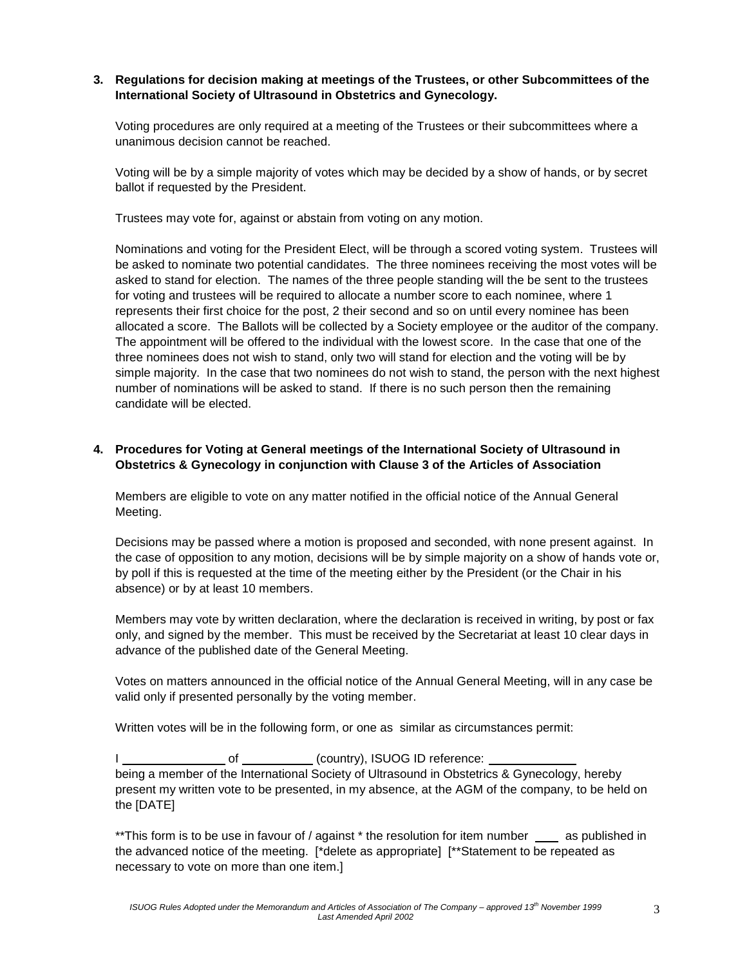### **3. Regulations for decision making at meetings of the Trustees, or other Subcommittees of the International Society of Ultrasound in Obstetrics and Gynecology.**

Voting procedures are only required at a meeting of the Trustees or their subcommittees where a unanimous decision cannot be reached.

Voting will be by a simple majority of votes which may be decided by a show of hands, or by secret ballot if requested by the President.

Trustees may vote for, against or abstain from voting on any motion.

Nominations and voting for the President Elect, will be through a scored voting system. Trustees will be asked to nominate two potential candidates. The three nominees receiving the most votes will be asked to stand for election. The names of the three people standing will the be sent to the trustees for voting and trustees will be required to allocate a number score to each nominee, where 1 represents their first choice for the post, 2 their second and so on until every nominee has been allocated a score. The Ballots will be collected by a Society employee or the auditor of the company. The appointment will be offered to the individual with the lowest score. In the case that one of the three nominees does not wish to stand, only two will stand for election and the voting will be by simple majority. In the case that two nominees do not wish to stand, the person with the next highest number of nominations will be asked to stand. If there is no such person then the remaining candidate will be elected.

## **4. Procedures for Voting at General meetings of the International Society of Ultrasound in Obstetrics & Gynecology in conjunction with Clause 3 of the Articles of Association**

Members are eligible to vote on any matter notified in the official notice of the Annual General Meeting.

Decisions may be passed where a motion is proposed and seconded, with none present against. In the case of opposition to any motion, decisions will be by simple majority on a show of hands vote or, by poll if this is requested at the time of the meeting either by the President (or the Chair in his absence) or by at least 10 members.

Members may vote by written declaration, where the declaration is received in writing, by post or fax only, and signed by the member. This must be received by the Secretariat at least 10 clear days in advance of the published date of the General Meeting.

Votes on matters announced in the official notice of the Annual General Meeting, will in any case be valid only if presented personally by the voting member.

Written votes will be in the following form, or one as similar as circumstances permit:

I of (country), ISUOG ID reference: being a member of the International Society of Ultrasound in Obstetrics & Gynecology, hereby present my written vote to be presented, in my absence, at the AGM of the company, to be held on the [DATE]

\*\*This form is to be use in favour of / against \* the resolution for item number as published in the advanced notice of the meeting. [\*delete as appropriate] [\*\*Statement to be repeated as necessary to vote on more than one item.]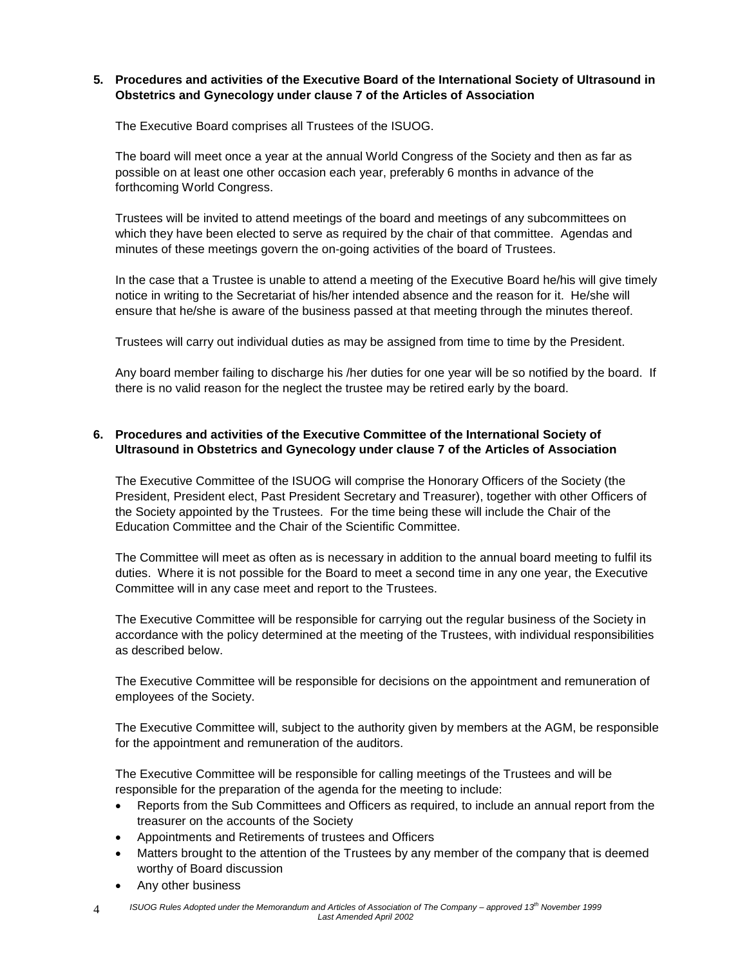## **5. Procedures and activities of the Executive Board of the International Society of Ultrasound in Obstetrics and Gynecology under clause 7 of the Articles of Association**

The Executive Board comprises all Trustees of the ISUOG.

The board will meet once a year at the annual World Congress of the Society and then as far as possible on at least one other occasion each year, preferably 6 months in advance of the forthcoming World Congress.

Trustees will be invited to attend meetings of the board and meetings of any subcommittees on which they have been elected to serve as required by the chair of that committee. Agendas and minutes of these meetings govern the on-going activities of the board of Trustees.

In the case that a Trustee is unable to attend a meeting of the Executive Board he/his will give timely notice in writing to the Secretariat of his/her intended absence and the reason for it. He/she will ensure that he/she is aware of the business passed at that meeting through the minutes thereof.

Trustees will carry out individual duties as may be assigned from time to time by the President.

Any board member failing to discharge his /her duties for one year will be so notified by the board. If there is no valid reason for the neglect the trustee may be retired early by the board.

# **6. Procedures and activities of the Executive Committee of the International Society of Ultrasound in Obstetrics and Gynecology under clause 7 of the Articles of Association**

The Executive Committee of the ISUOG will comprise the Honorary Officers of the Society (the President, President elect, Past President Secretary and Treasurer), together with other Officers of the Society appointed by the Trustees. For the time being these will include the Chair of the Education Committee and the Chair of the Scientific Committee.

The Committee will meet as often as is necessary in addition to the annual board meeting to fulfil its duties. Where it is not possible for the Board to meet a second time in any one year, the Executive Committee will in any case meet and report to the Trustees.

The Executive Committee will be responsible for carrying out the regular business of the Society in accordance with the policy determined at the meeting of the Trustees, with individual responsibilities as described below.

The Executive Committee will be responsible for decisions on the appointment and remuneration of employees of the Society.

The Executive Committee will, subject to the authority given by members at the AGM, be responsible for the appointment and remuneration of the auditors.

The Executive Committee will be responsible for calling meetings of the Trustees and will be responsible for the preparation of the agenda for the meeting to include:

- Reports from the Sub Committees and Officers as required, to include an annual report from the treasurer on the accounts of the Society
- Appointments and Retirements of trustees and Officers
- Matters brought to the attention of the Trustees by any member of the company that is deemed worthy of Board discussion
- Any other business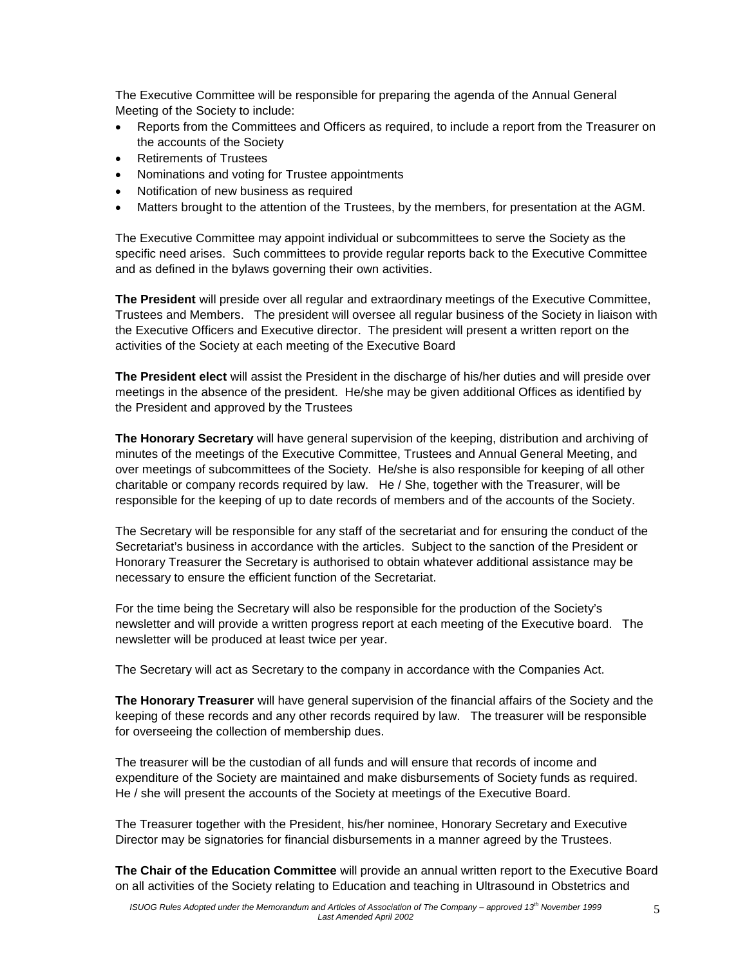The Executive Committee will be responsible for preparing the agenda of the Annual General Meeting of the Society to include:

- Reports from the Committees and Officers as required, to include a report from the Treasurer on the accounts of the Society
- Retirements of Trustees
- Nominations and voting for Trustee appointments
- Notification of new business as required
- Matters brought to the attention of the Trustees, by the members, for presentation at the AGM.

The Executive Committee may appoint individual or subcommittees to serve the Society as the specific need arises. Such committees to provide regular reports back to the Executive Committee and as defined in the bylaws governing their own activities.

**The President** will preside over all regular and extraordinary meetings of the Executive Committee, Trustees and Members. The president will oversee all regular business of the Society in liaison with the Executive Officers and Executive director. The president will present a written report on the activities of the Society at each meeting of the Executive Board

**The President elect** will assist the President in the discharge of his/her duties and will preside over meetings in the absence of the president. He/she may be given additional Offices as identified by the President and approved by the Trustees

**The Honorary Secretary** will have general supervision of the keeping, distribution and archiving of minutes of the meetings of the Executive Committee, Trustees and Annual General Meeting, and over meetings of subcommittees of the Society. He/she is also responsible for keeping of all other charitable or company records required by law. He / She, together with the Treasurer, will be responsible for the keeping of up to date records of members and of the accounts of the Society.

The Secretary will be responsible for any staff of the secretariat and for ensuring the conduct of the Secretariat's business in accordance with the articles. Subject to the sanction of the President or Honorary Treasurer the Secretary is authorised to obtain whatever additional assistance may be necessary to ensure the efficient function of the Secretariat.

For the time being the Secretary will also be responsible for the production of the Society's newsletter and will provide a written progress report at each meeting of the Executive board. The newsletter will be produced at least twice per year.

The Secretary will act as Secretary to the company in accordance with the Companies Act.

**The Honorary Treasurer** will have general supervision of the financial affairs of the Society and the keeping of these records and any other records required by law. The treasurer will be responsible for overseeing the collection of membership dues.

The treasurer will be the custodian of all funds and will ensure that records of income and expenditure of the Society are maintained and make disbursements of Society funds as required. He / she will present the accounts of the Society at meetings of the Executive Board.

The Treasurer together with the President, his/her nominee, Honorary Secretary and Executive Director may be signatories for financial disbursements in a manner agreed by the Trustees.

**The Chair of the Education Committee** will provide an annual written report to the Executive Board on all activities of the Society relating to Education and teaching in Ultrasound in Obstetrics and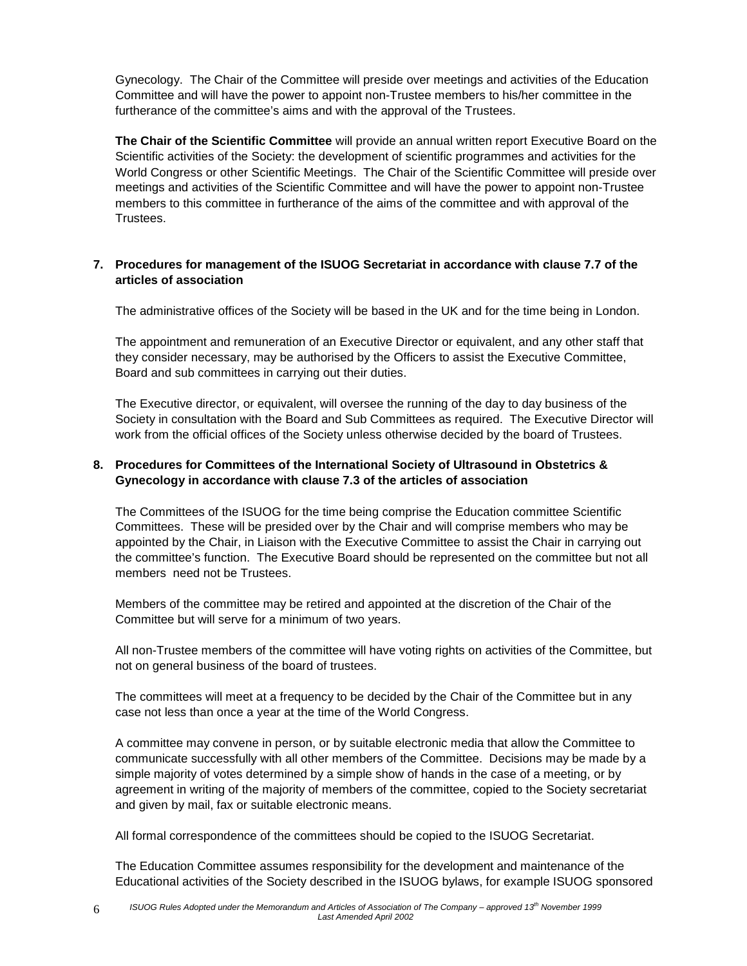Gynecology. The Chair of the Committee will preside over meetings and activities of the Education Committee and will have the power to appoint non-Trustee members to his/her committee in the furtherance of the committee's aims and with the approval of the Trustees.

**The Chair of the Scientific Committee** will provide an annual written report Executive Board on the Scientific activities of the Society: the development of scientific programmes and activities for the World Congress or other Scientific Meetings. The Chair of the Scientific Committee will preside over meetings and activities of the Scientific Committee and will have the power to appoint non-Trustee members to this committee in furtherance of the aims of the committee and with approval of the Trustees.

# **7. Procedures for management of the ISUOG Secretariat in accordance with clause 7.7 of the articles of association**

The administrative offices of the Society will be based in the UK and for the time being in London.

The appointment and remuneration of an Executive Director or equivalent, and any other staff that they consider necessary, may be authorised by the Officers to assist the Executive Committee, Board and sub committees in carrying out their duties.

The Executive director, or equivalent, will oversee the running of the day to day business of the Society in consultation with the Board and Sub Committees as required. The Executive Director will work from the official offices of the Society unless otherwise decided by the board of Trustees.

# **8. Procedures for Committees of the International Society of Ultrasound in Obstetrics & Gynecology in accordance with clause 7.3 of the articles of association**

The Committees of the ISUOG for the time being comprise the Education committee Scientific Committees. These will be presided over by the Chair and will comprise members who may be appointed by the Chair, in Liaison with the Executive Committee to assist the Chair in carrying out the committee's function. The Executive Board should be represented on the committee but not all members need not be Trustees.

Members of the committee may be retired and appointed at the discretion of the Chair of the Committee but will serve for a minimum of two years.

All non-Trustee members of the committee will have voting rights on activities of the Committee, but not on general business of the board of trustees.

The committees will meet at a frequency to be decided by the Chair of the Committee but in any case not less than once a year at the time of the World Congress.

A committee may convene in person, or by suitable electronic media that allow the Committee to communicate successfully with all other members of the Committee. Decisions may be made by a simple majority of votes determined by a simple show of hands in the case of a meeting, or by agreement in writing of the majority of members of the committee, copied to the Society secretariat and given by mail, fax or suitable electronic means.

All formal correspondence of the committees should be copied to the ISUOG Secretariat.

The Education Committee assumes responsibility for the development and maintenance of the Educational activities of the Society described in the ISUOG bylaws, for example ISUOG sponsored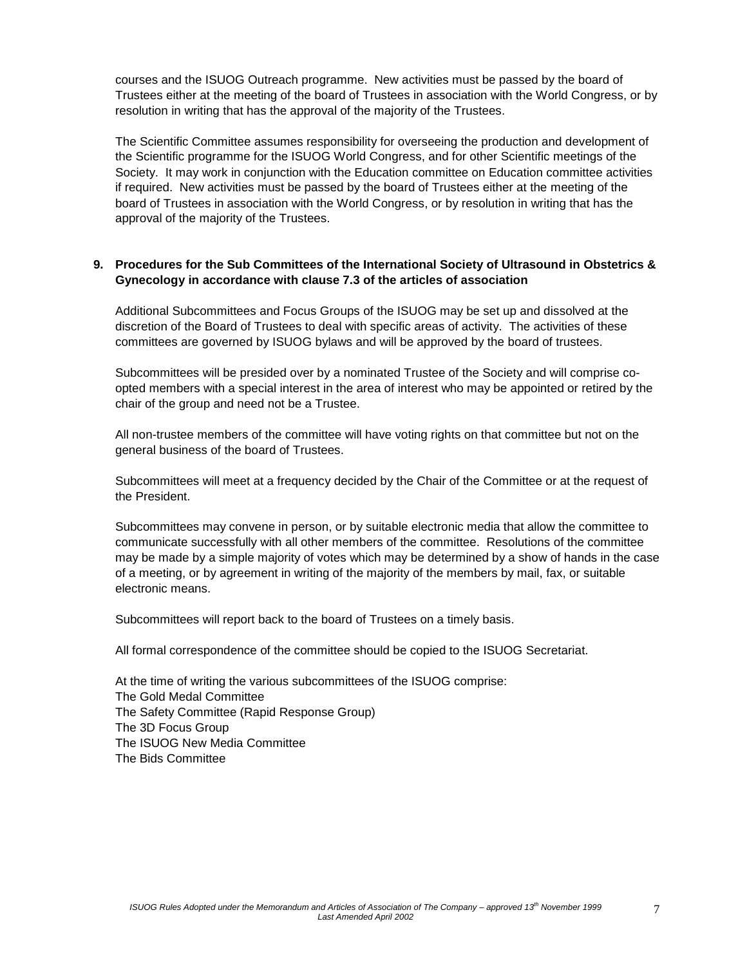courses and the ISUOG Outreach programme. New activities must be passed by the board of Trustees either at the meeting of the board of Trustees in association with the World Congress, or by resolution in writing that has the approval of the majority of the Trustees.

The Scientific Committee assumes responsibility for overseeing the production and development of the Scientific programme for the ISUOG World Congress, and for other Scientific meetings of the Society. It may work in conjunction with the Education committee on Education committee activities if required. New activities must be passed by the board of Trustees either at the meeting of the board of Trustees in association with the World Congress, or by resolution in writing that has the approval of the majority of the Trustees.

### **9. Procedures for the Sub Committees of the International Society of Ultrasound in Obstetrics & Gynecology in accordance with clause 7.3 of the articles of association**

Additional Subcommittees and Focus Groups of the ISUOG may be set up and dissolved at the discretion of the Board of Trustees to deal with specific areas of activity. The activities of these committees are governed by ISUOG bylaws and will be approved by the board of trustees.

Subcommittees will be presided over by a nominated Trustee of the Society and will comprise coopted members with a special interest in the area of interest who may be appointed or retired by the chair of the group and need not be a Trustee.

All non-trustee members of the committee will have voting rights on that committee but not on the general business of the board of Trustees.

Subcommittees will meet at a frequency decided by the Chair of the Committee or at the request of the President.

Subcommittees may convene in person, or by suitable electronic media that allow the committee to communicate successfully with all other members of the committee. Resolutions of the committee may be made by a simple majority of votes which may be determined by a show of hands in the case of a meeting, or by agreement in writing of the majority of the members by mail, fax, or suitable electronic means.

Subcommittees will report back to the board of Trustees on a timely basis.

All formal correspondence of the committee should be copied to the ISUOG Secretariat.

At the time of writing the various subcommittees of the ISUOG comprise: The Gold Medal Committee The Safety Committee (Rapid Response Group) The 3D Focus Group The ISUOG New Media Committee The Bids Committee